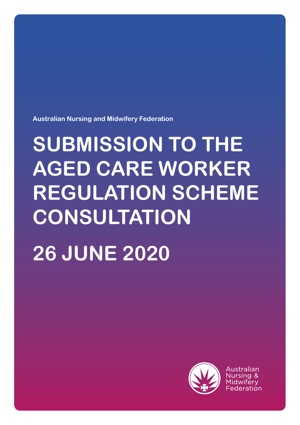**Australian Nursing and Midwifery Federation**

# **SUBMISSION TO THE AGED CARE WORKER REGULATION SCHEME CONSULTATION 26 JUNE 2020**



Australian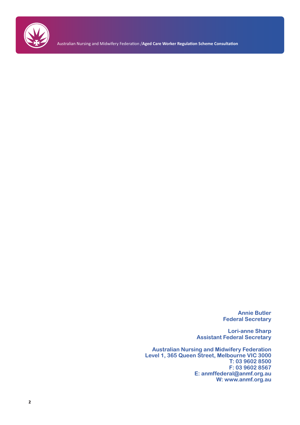

Australian Nursing and Midwifery Federation /**Aged Care Worker Regulation Scheme Consultation**

**Annie Butler Federal Secretary**

**Lori-anne Sharp Assistant Federal Secretary**

**Australian Nursing and Midwifery Federation Level 1, 365 Queen Street, Melbourne VIC 3000 T: 03 9602 8500 F: 03 9602 8567 E: anmffederal@anmf.org.au W: www.anmf.org.au**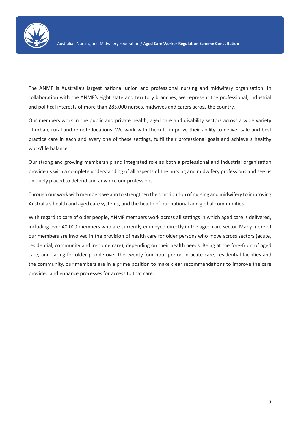

The ANMF is Australia's largest national union and professional nursing and midwifery organisation. In collaboration with the ANMF's eight state and territory branches, we represent the professional, industrial and political interests of more than 285,000 nurses, midwives and carers across the country.

Our members work in the public and private health, aged care and disability sectors across a wide variety of urban, rural and remote locations. We work with them to improve their ability to deliver safe and best practice care in each and every one of these settings, fulfil their professional goals and achieve a healthy work/life balance.

Our strong and growing membership and integrated role as both a professional and industrial organisation provide us with a complete understanding of all aspects of the nursing and midwifery professions and see us uniquely placed to defend and advance our professions.

Through our work with members we aim to strengthen the contribution of nursing and midwifery to improving Australia's health and aged care systems, and the health of our national and global communities.

With regard to care of older people, ANMF members work across all settings in which aged care is delivered, including over 40,000 members who are currently employed directly in the aged care sector. Many more of our members are involved in the provision of health care for older persons who move across sectors (acute, residential, community and in-home care), depending on their health needs. Being at the fore-front of aged care, and caring for older people over the twenty-four hour period in acute care, residential facilities and the community, our members are in a prime position to make clear recommendations to improve the care provided and enhance processes for access to that care.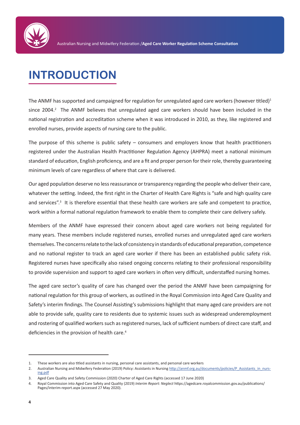

# **INTRODUCTION**

The ANMF has supported and campaigned for regulation for unregulated aged care workers (however titled)<sup>1</sup> since 2004.<sup>2</sup> The ANMF believes that unregulated aged care workers should have been included in the national registration and accreditation scheme when it was introduced in 2010, as they, like registered and enrolled nurses, provide aspects of nursing care to the public.

The purpose of this scheme is public safety – consumers and employers know that health practitioners registered under the Australian Health Practitioner Regulation Agency (AHPRA) meet a national minimum standard of education, English proficiency, and are a fit and proper person for their role, thereby guaranteeing minimum levels of care regardless of where that care is delivered.

Our aged population deserve no less reassurance or transparency regarding the people who deliver their care, whatever the setting. Indeed, the first right in the Charter of Health Care Rights is "safe and high quality care and services".<sup>3</sup> It is therefore essential that these health care workers are safe and competent to practice, work within a formal national regulation framework to enable them to complete their care delivery safely.

Members of the ANMF have expressed their concern about aged care workers not being regulated for many years. These members include registered nurses, enrolled nurses and unregulated aged care workers themselves. The concerns relate to the lack of consistency in standards of educational preparation, competence and no national register to track an aged care worker if there has been an established public safety risk. Registered nurses have specifically also raised ongoing concerns relating to their professional responsibility to provide supervision and support to aged care workers in often very difficult, understaffed nursing homes.

The aged care sector's quality of care has changed over the period the ANMF have been campaigning for national regulation for this group of workers, as outlined in the Royal Commission into Aged Care Quality and Safety's interim findings. The Counsel Assisting's submissions highlight that many aged care providers are not able to provide safe, quality care to residents due to systemic issues such as widespread underemployment and rostering of qualified workers such as registered nurses, lack of sufficient numbers of direct care staff, and deficiencies in the provision of health care.<sup>4</sup>

<sup>1.</sup> These workers are also titled assistants in nursing, personal care assistants, and personal care workers

<sup>2.</sup> Australian Nursing and Midwifery Federation (2019) Policy: Assistants in Nursing http://anmf.org.au/documents/policies/P\_Assistants\_in\_nursing.pdf

<sup>3.</sup> Aged Care Quality and Safety Commission (2020) Charter of Aged Care Rights (accessed 17 June 2020)

<sup>4.</sup> Royal Commission into Aged Care Safety and Quality (2019) *Interim Report: Neglect* https://agedcare.royalcommission.gov.au/publications/ Pages/interim-report.aspx (accessed 27 May 2020).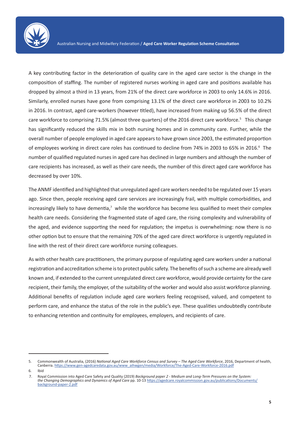

A key contributing factor in the deterioration of quality care in the aged care sector is the change in the composition of staffing. The number of registered nurses working in aged care and positions available has dropped by almost a third in 13 years, from 21% of the direct care workforce in 2003 to only 14.6% in 2016. Similarly, enrolled nurses have gone from comprising 13.1% of the direct care workforce in 2003 to 10.2% in 2016. In contrast, aged care-workers (however titled), have increased from making up 56.5% of the direct care workforce to comprising 71.5% (almost three quarters) of the 2016 direct care workforce.<sup>5</sup> This change has significantly reduced the skills mix in both nursing homes and in community care. Further, while the overall number of people employed in aged care appears to have grown since 2003, the estimated proportion of employees working in direct care roles has continued to decline from 74% in 2003 to 65% in 2016.<sup>6</sup> The number of qualified regulated nurses in aged care has declined in large numbers and although the number of care recipients has increased, as well as their care needs, the number of this direct aged care workforce has decreased by over 10%.

The ANMF identified and highlighted that unregulated aged care workers needed to be regulated over 15 years ago. Since then, people receiving aged care services are increasingly frail, with multiple comorbidities, and increasingly likely to have dementia,<sup>7</sup> while the workforce has become less qualified to meet their complex health care needs. Considering the fragmented state of aged care, the rising complexity and vulnerability of the aged, and evidence supporting the need for regulation; the impetus is overwhelming: now there is no other option but to ensure that the remaining 70% of the aged care direct workforce is urgently regulated in line with the rest of their direct care workforce nursing colleagues.

As with other health care practitioners, the primary purpose of regulating aged care workers under a national registration and accreditation scheme is to protect public safety. The benefits of such a scheme are already well known and, if extended to the current unregulated direct care workforce, would provide certainty for the care recipient, their family, the employer, of the suitability of the worker and would also assist workforce planning. Additional benefits of regulation include aged care workers feeling recognised, valued, and competent to perform care, and enhance the status of the role in the public's eye. These qualities undoubtedly contribute to enhancing retention and continuity for employees, employers, and recipients of care.

<sup>5.</sup> Commonwealth of Australia, (2016) *National Aged Care Workforce Census and Survey – The Aged Care Workforce*, 2016, Department of health, Canberra. https://www.gen-agedcaredata.gov.au/www\_aihwgen/media/Workforce/The-Aged-Care-Workforce-2016.pdf

 $6.$ 

<sup>7.</sup> Royal Commission into Aged Care Safety and Quality (2019) *Background paper 2 - Medium and Long-Term Pressures on the System: the Changing Demographics and Dynamics of Aged Care* pp. 10-13 https://agedcare.royalcommission.gov.au/publications/Documents/ background-paper-2.pdf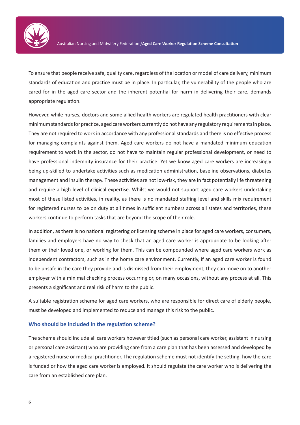

To ensure that people receive safe, quality care, regardless of the location or model of care delivery, minimum standards of education and practice must be in place. In particular, the vulnerability of the people who are cared for in the aged care sector and the inherent potential for harm in delivering their care, demands appropriate regulation.

However, while nurses, doctors and some allied health workers are regulated health practitioners with clear minimum standards for practice, aged care workers currently do not have any regulatory requirements in place. They are not required to work in accordance with any professional standards and there is no effective process for managing complaints against them. Aged care workers do not have a mandated minimum education requirement to work in the sector, do not have to maintain regular professional development, or need to have professional indemnity insurance for their practice. Yet we know aged care workers are increasingly being up-skilled to undertake activities such as medication administration, baseline observations, diabetes management and insulin therapy. These activities are not low-risk, they are in fact potentially life threatening and require a high level of clinical expertise. Whilst we would not support aged care workers undertaking most of these listed activities, in reality, as there is no mandated staffing level and skills mix requirement for registered nurses to be on duty at all times in sufficient numbers across all states and territories, these workers continue to perform tasks that are beyond the scope of their role.

In addition, as there is no national registering or licensing scheme in place for aged care workers, consumers, families and employers have no way to check that an aged care worker is appropriate to be looking after them or their loved one, or working for them. This can be compounded where aged care workers work as independent contractors, such as in the home care environment. Currently, if an aged care worker is found to be unsafe in the care they provide and is dismissed from their employment, they can move on to another employer with a minimal checking process occurring or, on many occasions, without any process at all. This presents a significant and real risk of harm to the public.

A suitable registration scheme for aged care workers, who are responsible for direct care of elderly people, must be developed and implemented to reduce and manage this risk to the public.

### **Who should be included in the regulation scheme?**

The scheme should include all care workers however titled (such as personal care worker, assistant in nursing or personal care assistant) who are providing care from a care plan that has been assessed and developed by a registered nurse or medical practitioner. The regulation scheme must not identify the setting, how the care is funded or how the aged care worker is employed. It should regulate the care worker who is delivering the care from an established care plan.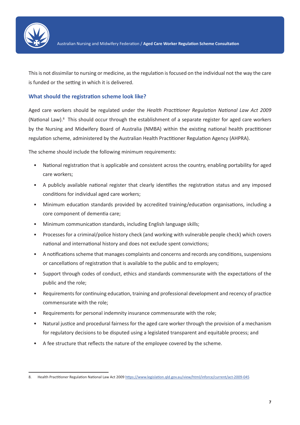

This is not dissimilar to nursing or medicine, as the regulation is focused on the individual not the way the care is funded or the setting in which it is delivered.

## **What should the registration scheme look like?**

Aged care workers should be regulated under the *Health Practitioner Regulation National Law Act 2009* (National Law).<sup>8</sup> This should occur through the establishment of a separate register for aged care workers by the Nursing and Midwifery Board of Australia (NMBA) within the existing national health practitioner regulation scheme, administered by the Australian Health Practitioner Regulation Agency (AHPRA).

The scheme should include the following minimum requirements:

- National registration that is applicable and consistent across the country, enabling portability for aged care workers;
- A publicly available national register that clearly identifies the registration status and any imposed conditions for individual aged care workers;
- Minimum education standards provided by accredited training/education organisations, including a core component of dementia care;
- Minimum communication standards, including English language skills;
- Processes for a criminal/police history check (and working with vulnerable people check) which covers national and international history and does not exclude spent convictions;
- A notifications scheme that manages complaints and concerns and records any conditions, suspensions or cancellations of registration that is available to the public and to employers;
- Support through codes of conduct, ethics and standards commensurate with the expectations of the public and the role;
- Requirements for continuing education, training and professional development and recency of practice commensurate with the role;
- Requirements for personal indemnity insurance commensurate with the role;
- Natural justice and procedural fairness for the aged care worker through the provision of a mechanism for regulatory decisions to be disputed using a legislated transparent and equitable process; and
- A fee structure that reflects the nature of the employee covered by the scheme.

<sup>8.</sup> Health Practitioner Regulation National Law Act 2009 https://www.legislation.qld.gov.au/view/html/inforce/current/act-2009-045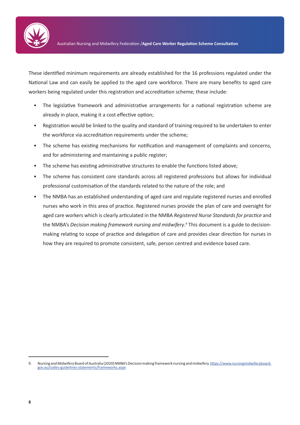

These identified minimum requirements are already established for the 16 professions regulated under the National Law and can easily be applied to the aged care workforce. There are many benefits to aged care workers being regulated under this registration and accreditation scheme; these include:

- The legislative framework and administrative arrangements for a national registration scheme are already in place, making it a cost effective option;
- Registration would be linked to the quality and standard of training required to be undertaken to enter the workforce via accreditation requirements under the scheme;
- The scheme has existing mechanisms for notification and management of complaints and concerns, and for administering and maintaining a public register;
- The scheme has existing administrative structures to enable the functions listed above;
- The scheme has consistent core standards across all registered professions but allows for individual professional customisation of the standards related to the nature of the role; and
- The NMBA has an established understanding of aged care and regulate registered nurses and enrolled nurses who work in this area of practice. Registered nurses provide the plan of care and oversight for aged care workers which is clearly articulated in the NMBA *Registered Nurse Standards for practice* and the NMBA's *Decision making framework nursing and midwifery*. 9 This document is a guide to decisionmaking relating to scope of practice and delegation of care and provides clear direction for nurses in how they are required to promote consistent, safe, person centred and evidence based care.

<sup>9.</sup> Nursing and Midwifery Board of Australia (2020) NMBA's Decision making framework nursing and midwifery. https://www.nursingmidwiferyboard. gov.au/codes-guidelines-statements/frameworks.aspx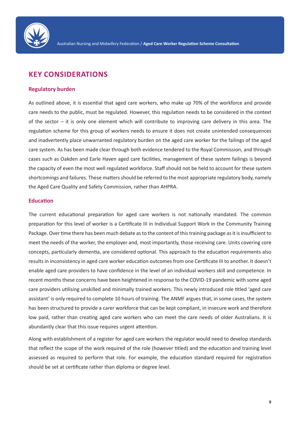

## **KEY CONSIDERATIONS**

### **Regulatory burden**

As outlined above, it is essential that aged care workers, who make up 70% of the workforce and provide care needs to the public, must be regulated. However, this regulation needs to be considered in the context of the sector – it is only one element which will contribute to improving care delivery in this area. The regulation scheme for this group of workers needs to ensure it does not create unintended consequences and inadvertently place unwarranted regulatory burden on the aged care worker for the failings of the aged care system. As has been made clear through both evidence tendered to the Royal Commission, and through cases such as Oakden and Earle Haven aged care facilities, management of these system failings is beyond the capacity of even the most well regulated workforce. Staff should not be held to account for these system shortcomings and failures. These matters should be referred to the most appropriate regulatory body, namely the Aged Care Quality and Safety Commission, rather than AHPRA.

## **Education**

The current educational preparation for aged care workers is not nationally mandated. The common preparation for this level of worker is a Certificate III in Individual Support Work in the Community Training Package. Over time there has been much debate as to the content of this training package as it is insufficient to meet the needs of the worker, the employer and, most importantly, those receiving care. Units covering core concepts, particularly dementia, are considered optional. This approach to the education requirements also results in inconsistency in aged care worker education outcomes from one Certificate III to another. It doesn't enable aged care providers to have confidence in the level of an individual workers skill and competence. In recent months these concerns have been heightened in response to the COVID-19 pandemic with some aged care providers utilising unskilled and minimally trained workers. This newly introduced role titled 'aged care assistant' is only required to complete 10 hours of training. The ANMF argues that, in some cases, the system has been structured to provide a carer workforce that can be kept compliant, in insecure work and therefore low paid, rather than creating aged care workers who can meet the care needs of older Australians. It is abundantly clear that this issue requires urgent attention.

Along with establishment of a register for aged care workers the regulator would need to develop standards that reflect the scope of the work required of the role (however titled) and the education and training level assessed as required to perform that role. For example, the education standard required for registration should be set at certificate rather than diploma or degree level.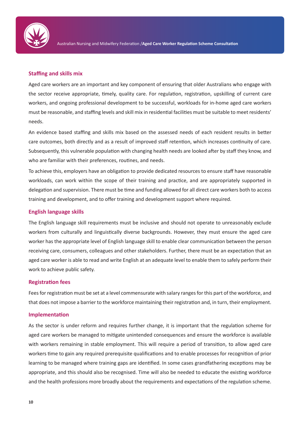

## **Staffing and skills mix**

Aged care workers are an important and key component of ensuring that older Australians who engage with the sector receive appropriate, timely, quality care. For regulation, registration, upskilling of current care workers, and ongoing professional development to be successful, workloads for in-home aged care workers must be reasonable, and staffing levels and skill mix in residential facilities must be suitable to meet residents' needs.

An evidence based staffing and skills mix based on the assessed needs of each resident results in better care outcomes, both directly and as a result of improved staff retention, which increases continuity of care. Subsequently, this vulnerable population with changing health needs are looked after by staff they know, and who are familiar with their preferences, routines, and needs.

To achieve this, employers have an obligation to provide dedicated resources to ensure staff have reasonable workloads, can work within the scope of their training and practice, and are appropriately supported in delegation and supervision. There must be time and funding allowed for all direct care workers both to access training and development, and to offer training and development support where required.

## **English language skills**

The English language skill requirements must be inclusive and should not operate to unreasonably exclude workers from culturally and linguistically diverse backgrounds. However, they must ensure the aged care worker has the appropriate level of English language skill to enable clear communication between the person receiving care, consumers, colleagues and other stakeholders. Further, there must be an expectation that an aged care worker is able to read and write English at an adequate level to enable them to safely perform their work to achieve public safety.

## **Registration fees**

Fees for registration must be set at a level commensurate with salary ranges for this part of the workforce, and that does not impose a barrier to the workforce maintaining their registration and, in turn, their employment.

## **Implementation**

As the sector is under reform and requires further change, it is important that the regulation scheme for aged care workers be managed to mitigate unintended consequences and ensure the workforce is available with workers remaining in stable employment. This will require a period of transition, to allow aged care workers time to gain any required prerequisite qualifications and to enable processes for recognition of prior learning to be managed where training gaps are identified. In some cases grandfathering exceptions may be appropriate, and this should also be recognised. Time will also be needed to educate the existing workforce and the health professions more broadly about the requirements and expectations of the regulation scheme.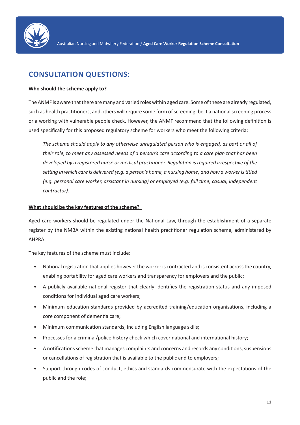

## **CONSULTATION QUESTIONS:**

## **Who should the scheme apply to?**

The ANMF is aware that there are many and varied roles within aged care. Some of these are already regulated, such as health practitioners, and others will require some form of screening, be it a national screening process or a working with vulnerable people check. However, the ANMF recommend that the following definition is used specifically for this proposed regulatory scheme for workers who meet the following criteria:

*The scheme should apply to any otherwise unregulated person who is engaged, as part or all of their role, to meet any assessed needs of a person's care according to a care plan that has been developed by a registered nurse or medical practitioner. Regulation is required irrespective of the setting in which care is delivered (e.g. a person's home, a nursing home) and how a worker is titled (e.g. personal care worker, assistant in nursing) or employed (e.g. full time, casual, independent contractor).* 

## **What should be the key features of the scheme?**

Aged care workers should be regulated under the National Law, through the establishment of a separate register by the NMBA within the existing national health practitioner regulation scheme, administered by AHPRA.

The key features of the scheme must include:

- National registration that applies however the worker is contracted and is consistent across the country, enabling portability for aged care workers and transparency for employers and the public;
- A publicly available national register that clearly identifies the registration status and any imposed conditions for individual aged care workers;
- Minimum education standards provided by accredited training/education organisations, including a core component of dementia care;
- Minimum communication standards, including English language skills;
- Processes for a criminal/police history check which cover national and international history;
- A notifications scheme that manages complaints and concerns and records any conditions, suspensions or cancellations of registration that is available to the public and to employers;
- Support through codes of conduct, ethics and standards commensurate with the expectations of the public and the role;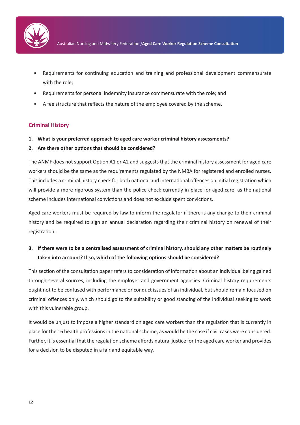

- Requirements for continuing education and training and professional development commensurate with the role;
- Requirements for personal indemnity insurance commensurate with the role; and
- A fee structure that reflects the nature of the employee covered by the scheme.

## **Criminal History**

- **1. What is your preferred approach to aged care worker criminal history assessments?**
- **2. Are there other options that should be considered?**

The ANMF does not support Option A1 or A2 and suggests that the criminal history assessment for aged care workers should be the same as the requirements regulated by the NMBA for registered and enrolled nurses. This includes a criminal history check for both national and international offences on initial registration which will provide a more rigorous system than the police check currently in place for aged care, as the national scheme includes international convictions and does not exclude spent convictions.

Aged care workers must be required by law to inform the regulator if there is any change to their criminal history and be required to sign an annual declaration regarding their criminal history on renewal of their registration.

## **3. If there were to be a centralised assessment of criminal history, should any other matters be routinely taken into account? If so, which of the following options should be considered?**

This section of the consultation paper refers to consideration of information about an individual being gained through several sources, including the employer and government agencies. Criminal history requirements ought not to be confused with performance or conduct issues of an individual, but should remain focused on criminal offences only, which should go to the suitability or good standing of the individual seeking to work with this vulnerable group.

It would be unjust to impose a higher standard on aged care workers than the regulation that is currently in place for the 16 health professions in the national scheme, as would be the case if civil cases were considered. Further, it is essential that the regulation scheme affords natural justice for the aged care worker and provides for a decision to be disputed in a fair and equitable way.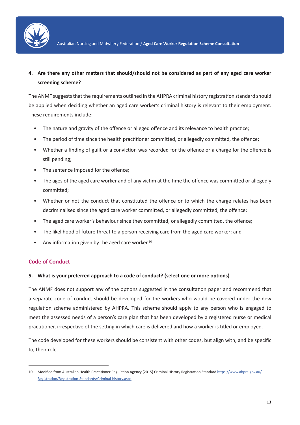

## **4. Are there any other matters that should/should not be considered as part of any aged care worker screening scheme?**

The ANMF suggests that the requirements outlined in the AHPRA criminal history registration standard should be applied when deciding whether an aged care worker's criminal history is relevant to their employment. These requirements include:

- The nature and gravity of the offence or alleged offence and its relevance to health practice;
- The period of time since the health practitioner committed, or allegedly committed, the offence;
- Whether a finding of guilt or a conviction was recorded for the offence or a charge for the offence is still pending;
- The sentence imposed for the offence;
- The ages of the aged care worker and of any victim at the time the offence was committed or allegedly committed;
- Whether or not the conduct that constituted the offence or to which the charge relates has been decriminalised since the aged care worker committed, or allegedly committed, the offence;
- The aged care worker's behaviour since they committed, or allegedly committed, the offence;
- The likelihood of future threat to a person receiving care from the aged care worker; and
- Any information given by the aged care worker. $10$

## **Code of Conduct**

## **5. What is your preferred approach to a code of conduct? (select one or more options)**

The ANMF does not support any of the options suggested in the consultation paper and recommend that a separate code of conduct should be developed for the workers who would be covered under the new regulation scheme administered by AHPRA. This scheme should apply to any person who is engaged to meet the assessed needs of a person's care plan that has been developed by a registered nurse or medical practitioner, irrespective of the setting in which care is delivered and how a worker is titled or employed.

The code developed for these workers should be consistent with other codes, but align with, and be specific to, their role.

<sup>10.</sup> Modified from Australian Health Practitioner Regulation Agency (2015) Criminal History Registration Standard https://www.ahpra.gov.au/ Registration/Registration-Standards/Criminal-history.aspx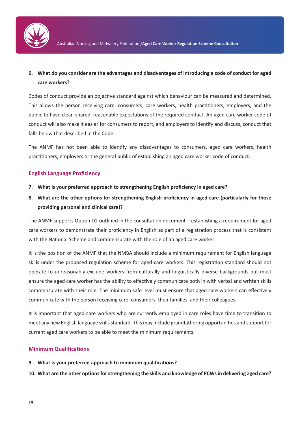

## **6. What do you consider are the advantages and disadvantages of introducing a code of conduct for aged care workers?**

Codes of conduct provide an objective standard against which behaviour can be measured and determined. This allows the person receiving care, consumers, care workers, health practitioners, employers, and the public to have clear, shared, reasonable expectations of the required conduct. An aged care worker code of conduct will also make it easier for consumers to report, and employers to identify and discuss, conduct that falls below that described in the Code.

The ANMF has not been able to identify any disadvantages to consumers, aged care workers, health practitioners, employers or the general public of establishing an aged care worker code of conduct.

## **English Language Proficiency**

- **7. What is your preferred approach to strengthening English proficiency in aged care?**
- **8. What are the other options for strengthening English proficiency in aged care (particularly for those providing personal and clinical care)?**

The ANMF supports Option D2 outlined in the consultation document – establishing a requirement for aged care workers to demonstrate their proficiency in English as part of a registration process that is consistent with the National Scheme and commensurate with the role of an aged care worker.

It is the position of the ANMF that the NMBA should include a minimum requirement for English language skills under the proposed regulation scheme for aged care workers. This registration standard should not operate to unreasonably exclude workers from culturally and linguistically diverse backgrounds but must ensure the aged care worker has the ability to effectively communicate both in with verbal and written skills commensurate with their role. The minimum safe level must ensure that aged care workers can effectively communicate with the person receiving care, consumers, their families, and their colleagues.

It is important that aged care workers who are currently employed in care roles have time to transition to meet any new English language skills standard. This may include grandfathering opportunities and support for current aged care workers to be able to meet the minimum requirements.

## **Minimum Qualifications**

- **9. What is your preferred approach to minimum qualifications?**
- **10. What are the other options for strengthening the skills and knowledge of PCWs in delivering aged care?**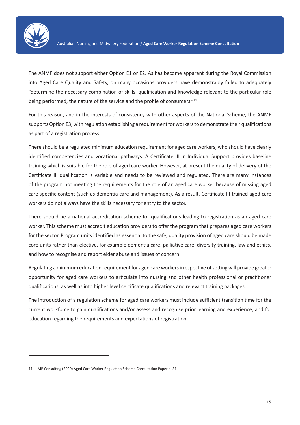

The ANMF does not support either Option E1 or E2. As has become apparent during the Royal Commission into Aged Care Quality and Safety, on many occasions providers have demonstrably failed to adequately "determine the necessary combination of skills, qualification and knowledge relevant to the particular role being performed, the nature of the service and the profile of consumers."<sup>11</sup>

For this reason, and in the interests of consistency with other aspects of the National Scheme, the ANMF supports Option E3, with regulation establishing a requirement for workers to demonstrate their qualifications as part of a registration process.

There should be a regulated minimum education requirement for aged care workers, who should have clearly identified competencies and vocational pathways. A Certificate III in Individual Support provides baseline training which is suitable for the role of aged care worker. However, at present the quality of delivery of the Certificate III qualification is variable and needs to be reviewed and regulated. There are many instances of the program not meeting the requirements for the role of an aged care worker because of missing aged care specific content (such as dementia care and management). As a result, Certificate III trained aged care workers do not always have the skills necessary for entry to the sector.

There should be a national accreditation scheme for qualifications leading to registration as an aged care worker. This scheme must accredit education providers to offer the program that prepares aged care workers for the sector. Program units identified as essential to the safe, quality provision of aged care should be made core units rather than elective, for example dementia care, palliative care, diversity training, law and ethics, and how to recognise and report elder abuse and issues of concern.

Regulating a minimum education requirement for aged care workers irrespective of setting will provide greater opportunity for aged care workers to articulate into nursing and other health professional or practitioner qualifications, as well as into higher level certificate qualifications and relevant training packages.

The introduction of a regulation scheme for aged care workers must include sufficient transition time for the current workforce to gain qualifications and/or assess and recognise prior learning and experience, and for education regarding the requirements and expectations of registration.

<sup>11.</sup> MP Consulting (2020) Aged Care Worker Regulation Scheme Consultation Paper p. 31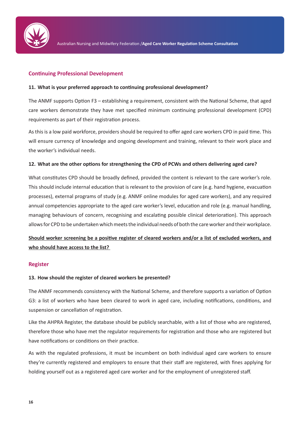

## **Continuing Professional Development**

### **11. What is your preferred approach to continuing professional development?**

The ANMF supports Option F3 – establishing a requirement, consistent with the National Scheme, that aged care workers demonstrate they have met specified minimum continuing professional development (CPD) requirements as part of their registration process.

As this is a low paid workforce, providers should be required to offer aged care workers CPD in paid time. This will ensure currency of knowledge and ongoing development and training, relevant to their work place and the worker's individual needs.

## **12. What are the other options for strengthening the CPD of PCWs and others delivering aged care?**

What constitutes CPD should be broadly defined, provided the content is relevant to the care worker's role. This should include internal education that is relevant to the provision of care (e.g. hand hygiene, evacuation processes), external programs of study (e.g. ANMF online modules for aged care workers), and any required annual competencies appropriate to the aged care worker's level, education and role (e.g. manual handling, managing behaviours of concern, recognising and escalating possible clinical deterioration). This approach allows for CPD to be undertaken which meets the individual needs of both the care worker and their workplace.

## **Should worker screening be a positive register of cleared workers and/or a list of excluded workers, and who should have access to the list?**

### **Register**

### **13. How should the register of cleared workers be presented?**

The ANMF recommends consistency with the National Scheme, and therefore supports a variation of Option G3: a list of workers who have been cleared to work in aged care, including notifications, conditions, and suspension or cancellation of registration.

Like the AHPRA Register, the database should be publicly searchable, with a list of those who are registered, therefore those who have met the regulator requirements for registration and those who are registered but have notifications or conditions on their practice.

As with the regulated professions, it must be incumbent on both individual aged care workers to ensure they're currently registered and employers to ensure that their staff are registered, with fines applying for holding yourself out as a registered aged care worker and for the employment of unregistered staff.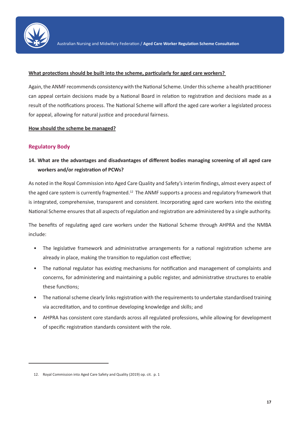

#### **What protections should be built into the scheme, particularly for aged care workers?**

Again, the ANMF recommends consistency with the National Scheme. Under this scheme a health practitioner can appeal certain decisions made by a National Board in relation to registration and decisions made as a result of the notifications process. The National Scheme will afford the aged care worker a legislated process for appeal, allowing for natural justice and procedural fairness.

**How should the scheme be managed?**

## **Regulatory Body**

## **14. What are the advantages and disadvantages of different bodies managing screening of all aged care workers and/or registration of PCWs?**

As noted in the Royal Commission into Aged Care Quality and Safety's interim findings, almost every aspect of the aged care system is currently fragmented.<sup>12</sup> The ANMF supports a process and regulatory framework that is integrated, comprehensive, transparent and consistent. Incorporating aged care workers into the existing National Scheme ensures that all aspects of regulation and registration are administered by a single authority.

The benefits of regulating aged care workers under the National Scheme through AHPRA and the NMBA include:

- The legislative framework and administrative arrangements for a national registration scheme are already in place, making the transition to regulation cost effective;
- The national regulator has existing mechanisms for notification and management of complaints and concerns, for administering and maintaining a public register, and administrative structures to enable these functions;
- The national scheme clearly links registration with the requirements to undertake standardised training via accreditation, and to continue developing knowledge and skills; and
- AHPRA has consistent core standards across all regulated professions, while allowing for development of specific registration standards consistent with the role.

<sup>12.</sup> Royal Commission into Aged Care Safety and Quality (2019) op. cit. p. 1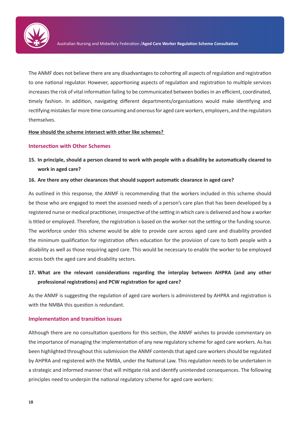

The ANMF does not believe there are any disadvantages to cohorting all aspects of regulation and registration to one national regulator. However, apportioning aspects of regulation and registration to multiple services increases the risk of vital information failing to be communicated between bodies in an efficient, coordinated, timely fashion. In addition, navigating different departments/organisations would make identifying and rectifying mistakes far more time consuming and onerous for aged care workers, employers, and the regulators themselves.

**How should the scheme intersect with other like schemes?** 

### **Intersection with Other Schemes**

**15. In principle, should a person cleared to work with people with a disability be automatically cleared to work in aged care?** 

#### **16. Are there any other clearances that should support automatic clearance in aged care?**

As outlined in this response, the ANMF is recommending that the workers included in this scheme should be those who are engaged to meet the assessed needs of a person's care plan that has been developed by a registered nurse or medical practitioner, irrespective of the setting in which care is delivered and how a worker is titled or employed. Therefore, the registration is based on the worker not the setting or the funding source. The workforce under this scheme would be able to provide care across aged care and disability provided the minimum qualification for registration offers education for the provision of care to both people with a disability as well as those requiring aged care. This would be necessary to enable the worker to be employed across both the aged care and disability sectors.

## **17. What are the relevant considerations regarding the interplay between AHPRA (and any other professional registrations) and PCW registration for aged care?**

As the ANMF is suggesting the regulation of aged care workers is administered by AHPRA and registration is with the NMBA this question is redundant.

## **Implementation and transition issues**

Although there are no consultation questions for this section, the ANMF wishes to provide commentary on the importance of managing the implementation of any new regulatory scheme for aged care workers. As has been highlighted throughout this submission the ANMF contends that aged care workers should be regulated by AHPRA and registered with the NMBA, under the National Law. This regulation needs to be undertaken in a strategic and informed manner that will mitigate risk and identify unintended consequences. The following principles need to underpin the national regulatory scheme for aged care workers: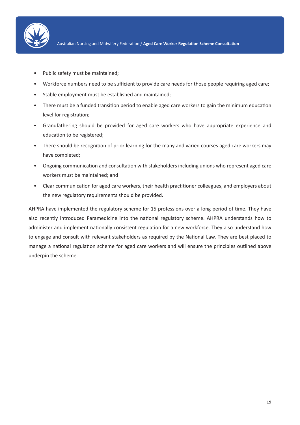

- Public safety must be maintained;
- Workforce numbers need to be sufficient to provide care needs for those people requiring aged care;
- Stable employment must be established and maintained;
- There must be a funded transition period to enable aged care workers to gain the minimum education level for registration;
- Grandfathering should be provided for aged care workers who have appropriate experience and education to be registered;
- There should be recognition of prior learning for the many and varied courses aged care workers may have completed;
- Ongoing communication and consultation with stakeholders including unions who represent aged care workers must be maintained; and
- Clear communication for aged care workers, their health practitioner colleagues, and employers about the new regulatory requirements should be provided.

AHPRA have implemented the regulatory scheme for 15 professions over a long period of time. They have also recently introduced Paramedicine into the national regulatory scheme. AHPRA understands how to administer and implement nationally consistent regulation for a new workforce. They also understand how to engage and consult with relevant stakeholders as required by the National Law. They are best placed to manage a national regulation scheme for aged care workers and will ensure the principles outlined above underpin the scheme.